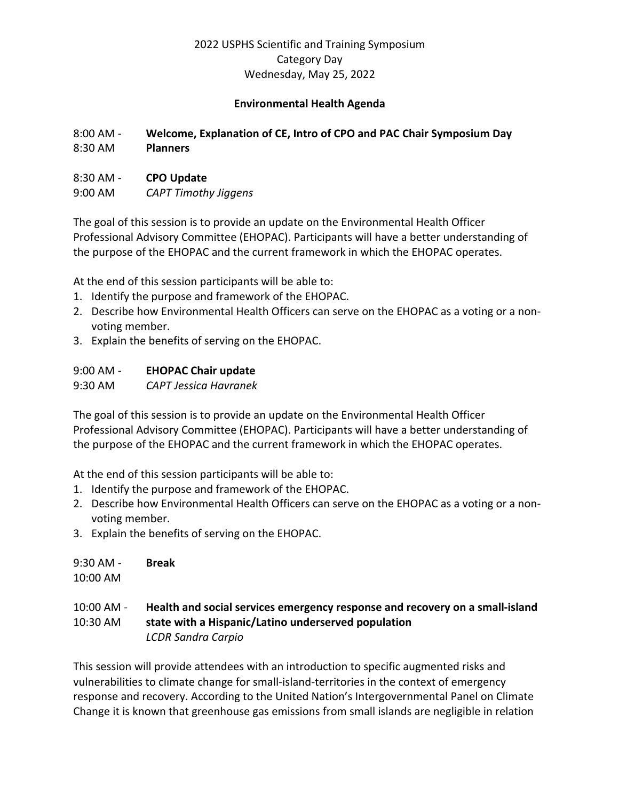#### **Environmental Health Agenda**

## 8:00 AM - **Welcome, Explanation of CE, Intro of CPO and PAC Chair Symposium Day**  8:30 AM **Planners**

#### 8:30 AM - **CPO Update**

9:00 AM *CAPT Timothy Jiggens* 

The goal of this session is to provide an update on the Environmental Health Officer Professional Advisory Committee (EHOPAC). Participants will have a better understanding of the purpose of the EHOPAC and the current framework in which the EHOPAC operates.

At the end of this session participants will be able to:

- 1. Identify the purpose and framework of the EHOPAC.
- 2. Describe how Environmental Health Officers can serve on the EHOPAC as a voting or a nonvoting member.
- 3. Explain the benefits of serving on the EHOPAC.

# 9:00 AM - **EHOPAC Chair update**

9:30 AM *CAPT Jessica Havranek* 

The goal of this session is to provide an update on the Environmental Health Officer Professional Advisory Committee (EHOPAC). Participants will have a better understanding of the purpose of the EHOPAC and the current framework in which the EHOPAC operates.

At the end of this session participants will be able to:

- 1. Identify the purpose and framework of the EHOPAC.
- 2. Describe how Environmental Health Officers can serve on the EHOPAC as a voting or a nonvoting member.
- 3. Explain the benefits of serving on the EHOPAC.

9:30 AM - **Break**

10:00 AM

## 10:00 AM - **Health and social services emergency response and recovery on a small-island**  10:30 AM **state with a Hispanic/Latino underserved population** *LCDR Sandra Carpio*

This session will provide attendees with an introduction to specific augmented risks and vulnerabilities to climate change for small-island-territories in the context of emergency response and recovery. According to the United Nation's Intergovernmental Panel on Climate Change it is known that greenhouse gas emissions from small islands are negligible in relation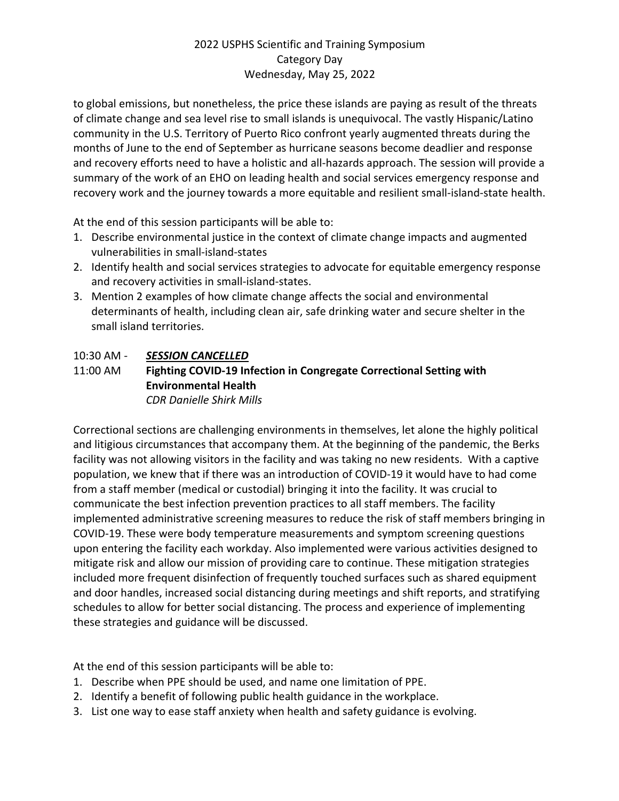to global emissions, but nonetheless, the price these islands are paying as result of the threats of climate change and sea level rise to small islands is unequivocal. The vastly Hispanic/Latino community in the U.S. Territory of Puerto Rico confront yearly augmented threats during the months of June to the end of September as hurricane seasons become deadlier and response and recovery efforts need to have a holistic and all-hazards approach. The session will provide a summary of the work of an EHO on leading health and social services emergency response and recovery work and the journey towards a more equitable and resilient small-island-state health.

At the end of this session participants will be able to:

- 1. Describe environmental justice in the context of climate change impacts and augmented vulnerabilities in small-island-states
- 2. Identify health and social services strategies to advocate for equitable emergency response and recovery activities in small-island-states.
- 3. Mention 2 examples of how climate change affects the social and environmental determinants of health, including clean air, safe drinking water and secure shelter in the small island territories.

# 10:30 AM - *SESSION CANCELLED*

#### 11:00 AM **Fighting COVID-19 Infection in Congregate Correctional Setting with Environmental Health** *CDR Danielle Shirk Mills*

Correctional sections are challenging environments in themselves, let alone the highly political and litigious circumstances that accompany them. At the beginning of the pandemic, the Berks facility was not allowing visitors in the facility and was taking no new residents. With a captive population, we knew that if there was an introduction of COVID-19 it would have to had come from a staff member (medical or custodial) bringing it into the facility. It was crucial to communicate the best infection prevention practices to all staff members. The facility implemented administrative screening measures to reduce the risk of staff members bringing in COVID-19. These were body temperature measurements and symptom screening questions upon entering the facility each workday. Also implemented were various activities designed to mitigate risk and allow our mission of providing care to continue. These mitigation strategies included more frequent disinfection of frequently touched surfaces such as shared equipment and door handles, increased social distancing during meetings and shift reports, and stratifying schedules to allow for better social distancing. The process and experience of implementing these strategies and guidance will be discussed.

At the end of this session participants will be able to:

- 1. Describe when PPE should be used, and name one limitation of PPE.
- 2. Identify a benefit of following public health guidance in the workplace.
- 3. List one way to ease staff anxiety when health and safety guidance is evolving.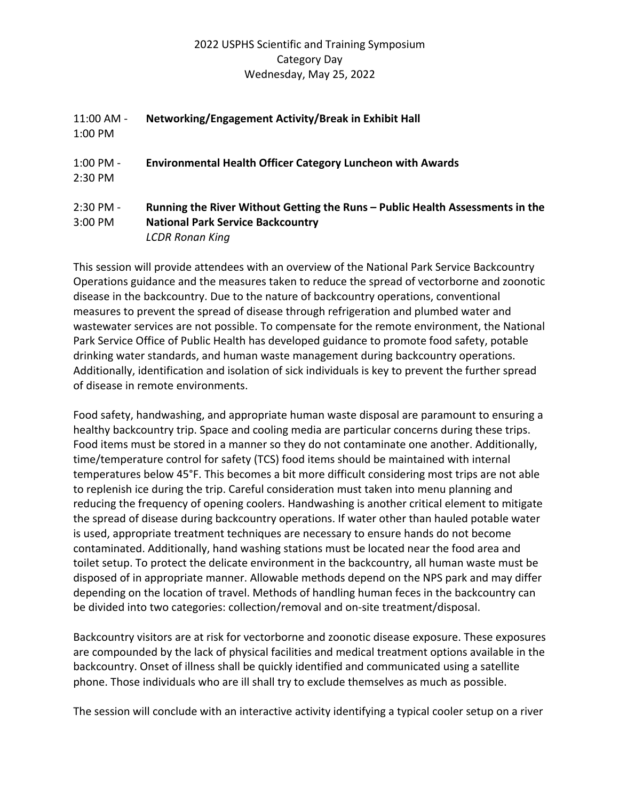| 11:00 AM -<br>1:00 PM | Networking/Engagement Activity/Break in Exhibit Hall                                                                      |
|-----------------------|---------------------------------------------------------------------------------------------------------------------------|
| 1:00 PM -<br>2:30 PM  | <b>Environmental Health Officer Category Luncheon with Awards</b>                                                         |
| 2:30 PM -<br>3:00 PM  | Running the River Without Getting the Runs – Public Health Assessments in the<br><b>National Park Service Backcountry</b> |
|                       | <b>LCDR Ronan King</b>                                                                                                    |

This session will provide attendees with an overview of the National Park Service Backcountry Operations guidance and the measures taken to reduce the spread of vectorborne and zoonotic disease in the backcountry. Due to the nature of backcountry operations, conventional measures to prevent the spread of disease through refrigeration and plumbed water and wastewater services are not possible. To compensate for the remote environment, the National Park Service Office of Public Health has developed guidance to promote food safety, potable drinking water standards, and human waste management during backcountry operations. Additionally, identification and isolation of sick individuals is key to prevent the further spread of disease in remote environments.

Food safety, handwashing, and appropriate human waste disposal are paramount to ensuring a healthy backcountry trip. Space and cooling media are particular concerns during these trips. Food items must be stored in a manner so they do not contaminate one another. Additionally, time/temperature control for safety (TCS) food items should be maintained with internal temperatures below 45°F. This becomes a bit more difficult considering most trips are not able to replenish ice during the trip. Careful consideration must taken into menu planning and reducing the frequency of opening coolers. Handwashing is another critical element to mitigate the spread of disease during backcountry operations. If water other than hauled potable water is used, appropriate treatment techniques are necessary to ensure hands do not become contaminated. Additionally, hand washing stations must be located near the food area and toilet setup. To protect the delicate environment in the backcountry, all human waste must be disposed of in appropriate manner. Allowable methods depend on the NPS park and may differ depending on the location of travel. Methods of handling human feces in the backcountry can be divided into two categories: collection/removal and on-site treatment/disposal.

Backcountry visitors are at risk for vectorborne and zoonotic disease exposure. These exposures are compounded by the lack of physical facilities and medical treatment options available in the backcountry. Onset of illness shall be quickly identified and communicated using a satellite phone. Those individuals who are ill shall try to exclude themselves as much as possible.

The session will conclude with an interactive activity identifying a typical cooler setup on a river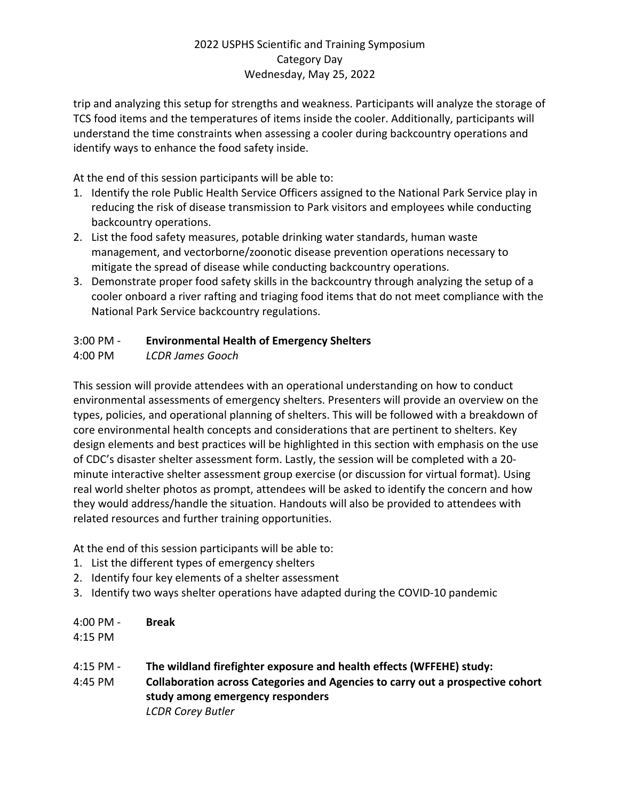trip and analyzing this setup for strengths and weakness. Participants will analyze the storage of TCS food items and the temperatures of items inside the cooler. Additionally, participants will understand the time constraints when assessing a cooler during backcountry operations and identify ways to enhance the food safety inside.

At the end of this session participants will be able to:

- 1. Identify the role Public Health Service Officers assigned to the National Park Service play in reducing the risk of disease transmission to Park visitors and employees while conducting backcountry operations.
- 2. List the food safety measures, potable drinking water standards, human waste management, and vectorborne/zoonotic disease prevention operations necessary to mitigate the spread of disease while conducting backcountry operations.
- 3. Demonstrate proper food safety skills in the backcountry through analyzing the setup of a cooler onboard a river rafting and triaging food items that do not meet compliance with the National Park Service backcountry regulations.

# 3:00 PM - **Environmental Health of Emergency Shelters**

4:00 PM *LCDR James Gooch* 

This session will provide attendees with an operational understanding on how to conduct environmental assessments of emergency shelters. Presenters will provide an overview on the types, policies, and operational planning of shelters. This will be followed with a breakdown of core environmental health concepts and considerations that are pertinent to shelters. Key design elements and best practices will be highlighted in this section with emphasis on the use of CDC's disaster shelter assessment form. Lastly, the session will be completed with a 20 minute interactive shelter assessment group exercise (or discussion for virtual format). Using real world shelter photos as prompt, attendees will be asked to identify the concern and how they would address/handle the situation. Handouts will also be provided to attendees with related resources and further training opportunities.

At the end of this session participants will be able to:

- 1. List the different types of emergency shelters
- 2. Identify four key elements of a shelter assessment
- 3. Identify two ways shelter operations have adapted during the COVID-10 pandemic

| $4:00 \text{ PM} -$ | <b>Break</b> |
|---------------------|--------------|
| $4:15$ PM           |              |

- 4:15 PM **The wildland firefighter exposure and health effects (WFFEHE) study:**
- 4:45 PM **Collaboration across Categories and Agencies to carry out a prospective cohort study among emergency responders** *LCDR Corey Butler*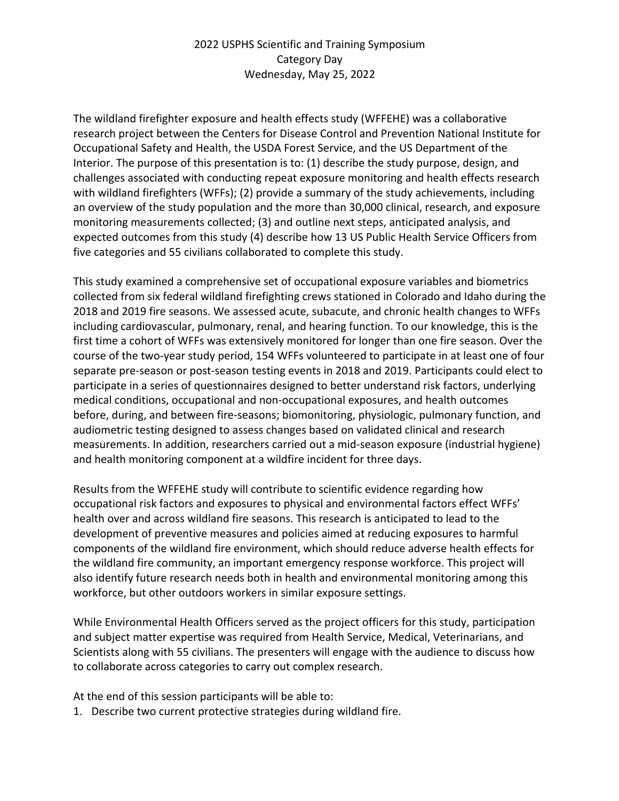The wildland firefighter exposure and health effects study (WFFEHE) was a collaborative research project between the Centers for Disease Control and Prevention National Institute for Occupational Safety and Health, the USDA Forest Service, and the US Department of the Interior. The purpose of this presentation is to: (1) describe the study purpose, design, and challenges associated with conducting repeat exposure monitoring and health effects research with wildland firefighters (WFFs); (2) provide a summary of the study achievements, including an overview of the study population and the more than 30,000 clinical, research, and exposure monitoring measurements collected; (3) and outline next steps, anticipated analysis, and expected outcomes from this study (4) describe how 13 US Public Health Service Officers from five categories and 55 civilians collaborated to complete this study.

This study examined a comprehensive set of occupational exposure variables and biometrics collected from six federal wildland firefighting crews stationed in Colorado and Idaho during the 2018 and 2019 fire seasons. We assessed acute, subacute, and chronic health changes to WFFs including cardiovascular, pulmonary, renal, and hearing function. To our knowledge, this is the first time a cohort of WFFs was extensively monitored for longer than one fire season. Over the course of the two-year study period, 154 WFFs volunteered to participate in at least one of four separate pre-season or post-season testing events in 2018 and 2019. Participants could elect to participate in a series of questionnaires designed to better understand risk factors, underlying medical conditions, occupational and non-occupational exposures, and health outcomes before, during, and between fire-seasons; biomonitoring, physiologic, pulmonary function, and audiometric testing designed to assess changes based on validated clinical and research measurements. In addition, researchers carried out a mid-season exposure (industrial hygiene) and health monitoring component at a wildfire incident for three days.

Results from the WFFEHE study will contribute to scientific evidence regarding how occupational risk factors and exposures to physical and environmental factors effect WFFs' health over and across wildland fire seasons. This research is anticipated to lead to the development of preventive measures and policies aimed at reducing exposures to harmful components of the wildland fire environment, which should reduce adverse health effects for the wildland fire community, an important emergency response workforce. This project will also identify future research needs both in health and environmental monitoring among this workforce, but other outdoors workers in similar exposure settings.

While Environmental Health Officers served as the project officers for this study, participation and subject matter expertise was required from Health Service, Medical, Veterinarians, and Scientists along with 55 civilians. The presenters will engage with the audience to discuss how to collaborate across categories to carry out complex research.

At the end of this session participants will be able to:

1. Describe two current protective strategies during wildland fire.